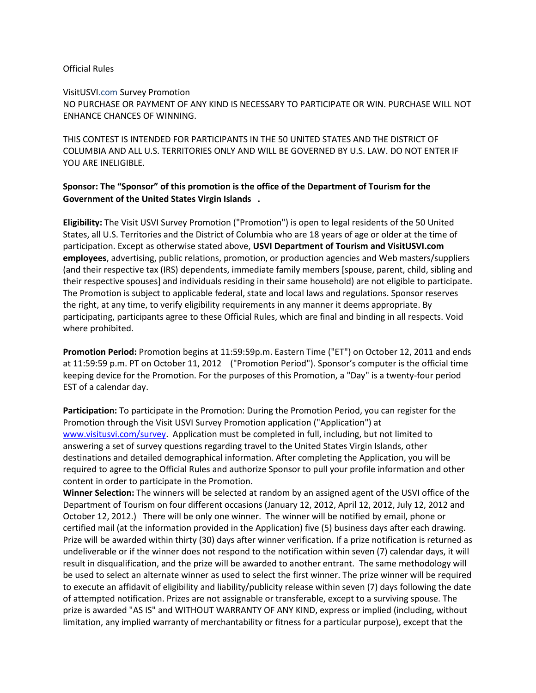## Official Rules

VisitUSVI.com Survey Promotion

NO PURCHASE OR PAYMENT OF ANY KIND IS NECESSARY TO PARTICIPATE OR WIN. PURCHASE WILL NOT ENHANCE CHANCES OF WINNING.

THIS CONTEST IS INTENDED FOR PARTICIPANTS IN THE 50 UNITED STATES AND THE DISTRICT OF COLUMBIA AND ALL U.S. TERRITORIES ONLY AND WILL BE GOVERNED BY U.S. LAW. DO NOT ENTER IF YOU ARE INELIGIBLE.

## **Sponsor: The "Sponsor" of this promotion is the office of the Department of Tourism for the Government of the United States Virgin Islands .**

**Eligibility:** The Visit USVI Survey Promotion ("Promotion") is open to legal residents of the 50 United States, all U.S. Territories and the District of Columbia who are 18 years of age or older at the time of participation. Except as otherwise stated above, **USVI Department of Tourism and VisitUSVI.com employees**, advertising, public relations, promotion, or production agencies and Web masters/suppliers (and their respective tax (IRS) dependents, immediate family members [spouse, parent, child, sibling and their respective spouses] and individuals residing in their same household) are not eligible to participate. The Promotion is subject to applicable federal, state and local laws and regulations. Sponsor reserves the right, at any time, to verify eligibility requirements in any manner it deems appropriate. By participating, participants agree to these Official Rules, which are final and binding in all respects. Void where prohibited.

**Promotion Period:** Promotion begins at 11:59:59p.m. Eastern Time ("ET") on October 12, 2011 and ends at 11:59:59 p.m. PT on October 11, 2012 ("Promotion Period"). Sponsor's computer is the official time keeping device for the Promotion. For the purposes of this Promotion, a "Day" is a twenty-four period EST of a calendar day.

**Participation:** To participate in the Promotion: During the Promotion Period, you can register for the Promotion through the Visit USVI Survey Promotion application ("Application") at [www.visitusvi.com/survey.](http://www.visitusvi.com/survey) Application must be completed in full, including, but not limited to answering a set of survey questions regarding travel to the United States Virgin Islands, other destinations and detailed demographical information. After completing the Application, you will be required to agree to the Official Rules and authorize Sponsor to pull your profile information and other content in order to participate in the Promotion.

**Winner Selection:** The winners will be selected at random by an assigned agent of the USVI office of the Department of Tourism on four different occasions (January 12, 2012, April 12, 2012, July 12, 2012 and October 12, 2012.) There will be only one winner. The winner will be notified by email, phone or certified mail (at the information provided in the Application) five (5) business days after each drawing. Prize will be awarded within thirty (30) days after winner verification. If a prize notification is returned as undeliverable or if the winner does not respond to the notification within seven (7) calendar days, it will result in disqualification, and the prize will be awarded to another entrant. The same methodology will be used to select an alternate winner as used to select the first winner. The prize winner will be required to execute an affidavit of eligibility and liability/publicity release within seven (7) days following the date of attempted notification. Prizes are not assignable or transferable, except to a surviving spouse. The prize is awarded "AS IS" and WITHOUT WARRANTY OF ANY KIND, express or implied (including, without limitation, any implied warranty of merchantability or fitness for a particular purpose), except that the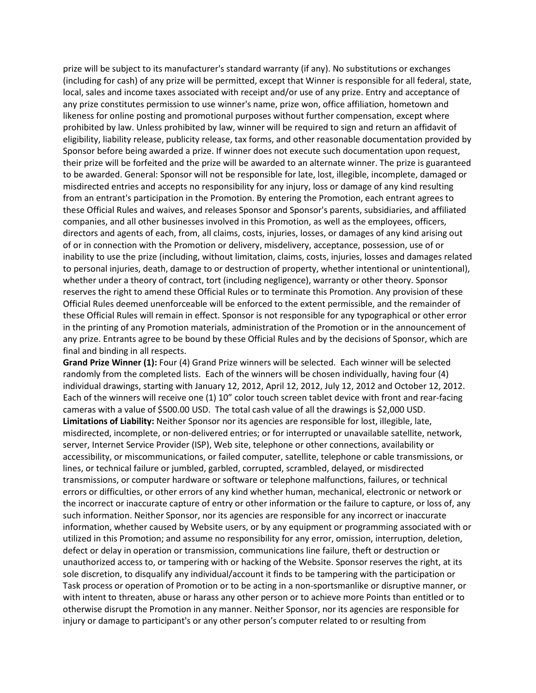prize will be subject to its manufacturer's standard warranty (if any). No substitutions or exchanges (including for cash) of any prize will be permitted, except that Winner is responsible for all federal, state, local, sales and income taxes associated with receipt and/or use of any prize. Entry and acceptance of any prize constitutes permission to use winner's name, prize won, office affiliation, hometown and likeness for online posting and promotional purposes without further compensation, except where prohibited by law. Unless prohibited by law, winner will be required to sign and return an affidavit of eligibility, liability release, publicity release, tax forms, and other reasonable documentation provided by Sponsor before being awarded a prize. If winner does not execute such documentation upon request, their prize will be forfeited and the prize will be awarded to an alternate winner. The prize is guaranteed to be awarded. General: Sponsor will not be responsible for late, lost, illegible, incomplete, damaged or misdirected entries and accepts no responsibility for any injury, loss or damage of any kind resulting from an entrant's participation in the Promotion. By entering the Promotion, each entrant agrees to these Official Rules and waives, and releases Sponsor and Sponsor's parents, subsidiaries, and affiliated companies, and all other businesses involved in this Promotion, as well as the employees, officers, directors and agents of each, from, all claims, costs, injuries, losses, or damages of any kind arising out of or in connection with the Promotion or delivery, misdelivery, acceptance, possession, use of or inability to use the prize (including, without limitation, claims, costs, injuries, losses and damages related to personal injuries, death, damage to or destruction of property, whether intentional or unintentional), whether under a theory of contract, tort (including negligence), warranty or other theory. Sponsor reserves the right to amend these Official Rules or to terminate this Promotion. Any provision of these Official Rules deemed unenforceable will be enforced to the extent permissible, and the remainder of these Official Rules will remain in effect. Sponsor is not responsible for any typographical or other error in the printing of any Promotion materials, administration of the Promotion or in the announcement of any prize. Entrants agree to be bound by these Official Rules and by the decisions of Sponsor, which are final and binding in all respects.

**Grand Prize Winner (1):** Four (4) Grand Prize winners will be selected. Each winner will be selected randomly from the completed lists. Each of the winners will be chosen individually, having four (4) individual drawings, starting with January 12, 2012, April 12, 2012, July 12, 2012 and October 12, 2012. Each of the winners will receive one (1) 10" color touch screen tablet device with front and rear-facing cameras with a value of \$500.00 USD. The total cash value of all the drawings is \$2,000 USD. **Limitations of Liability:** Neither Sponsor nor its agencies are responsible for lost, illegible, late, misdirected, incomplete, or non-delivered entries; or for interrupted or unavailable satellite, network, server, Internet Service Provider (ISP), Web site, telephone or other connections, availability or accessibility, or miscommunications, or failed computer, satellite, telephone or cable transmissions, or lines, or technical failure or jumbled, garbled, corrupted, scrambled, delayed, or misdirected transmissions, or computer hardware or software or telephone malfunctions, failures, or technical errors or difficulties, or other errors of any kind whether human, mechanical, electronic or network or the incorrect or inaccurate capture of entry or other information or the failure to capture, or loss of, any such information. Neither Sponsor, nor its agencies are responsible for any incorrect or inaccurate information, whether caused by Website users, or by any equipment or programming associated with or utilized in this Promotion; and assume no responsibility for any error, omission, interruption, deletion, defect or delay in operation or transmission, communications line failure, theft or destruction or unauthorized access to, or tampering with or hacking of the Website. Sponsor reserves the right, at its sole discretion, to disqualify any individual/account it finds to be tampering with the participation or Task process or operation of Promotion or to be acting in a non-sportsmanlike or disruptive manner, or with intent to threaten, abuse or harass any other person or to achieve more Points than entitled or to otherwise disrupt the Promotion in any manner. Neither Sponsor, nor its agencies are responsible for injury or damage to participant's or any other person's computer related to or resulting from